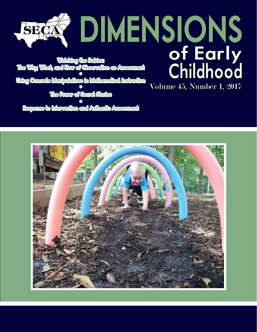Volume 45, Number 1, 2017 Watching the Babies: The Why, What, and How of Observation as Assessment ° Using Concrete Manipulatives in Mathematical Instruction Using Consrete Manipulatives in Mathematical Instruction The Power of Secret Stories

° Response to Intervention and Authentic Assessment

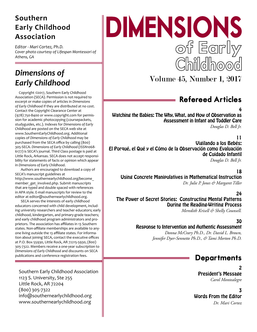# **Southern Early Childhood Association**

*Editor - Mari Cortez, Ph.D. Cover photo courtesy of Lifespan Montessori of Athens, GA* 

# *Dimensions of Early Childhood*

Copyright ©2017, Southern Early Childhood Association (SECA). Permission is not required to excerpt or make copies of articles in *Dimensions of Early Childhood* if they are distributed at no cost. Contact the Copyright Clearance Center at (978) 750-8400 or www.copyright.com for permission for academic photocopying (coursepackets, studyguides, etc.). Indexes for *Dimensions of Early Childhood* are posted on the SECA web site at www.SouthernEarlyChildhood.org. Additional copies of *Dimensions of Early Childhood* may be purchased from the SECA office by calling (800) 305-SECA. *Dimensions of Early Childhood* (ISSN1068- 6177) is SECA's journal. Third Class postage is paid at Little Rock, Arkansas. SECA does not accept responsibility for statements of facts or opinion which appear in *Dimensions of Early Childhood*.

Authors are encouraged to download a copy of SECA's manuscript guidelines at http://www.southernearlychildhood.org/become\_ member get involved.php. Submit manuscripts that are typed and double spaced with references in APA style. E-mail manuscripts for review to the editor at editor@southernearlychildhood.org.

SECA serves the interests of early childhood educators concerned with child development, including university researchers and teacher educators; early childhood, kindergarten, and primary-grade teachers; and early childhood program administrators and proprietors. The association has affiliates in 13 Southern states. Non-affiliate memberships are available to anyone living outside the 13 affiliate states. For information about joining SECA, contact the executive offices at P.O. Box 55930, Little Rock, AR 72215-5930, (800) 305-7322. Members receive a one-year subscription to *Dimensions of Early Childhood* and discounts on SECA publications and conference registration fees.

Southern Early Childhood Association 1123 S. University, Ste 255 Little Rock, AR 72204 (800) 305-7322 info@southernearlychildhood.org www.southernearlychildhood.org

# DIMENSIONS of Early Childhood

Volume 45, Number 1, 2017

# Refereed Articles

4

Watching the Babies: The Why, What, and How of Observation as Assessment in Infant and Toddler Care *Douglas D. Bell Jr.*

11

Vigilando a los Bebés: El Porqué, el Qué y el Cómo de la Observación como Evaluación de Cuidado Infantil *Douglas D. Bell Jr.*

#### 18

Using Concrete Manipulatives in Mathematical Instruction *Dr. Julie P. Jones & Margaret Tiller*

24

The Power of Secret Stories: Constructing Mental Patterns During the Reading-Writing Process

*Meredith Krisell & Shelly Counsell.*

## 30

Response to Intervention and Authentic Assessment

*Donna McCrary Ph.D., Dr. David L. Brown, Jennifer Dyer-Sennette Ph.D., & Tami Morton Ph.D.*

## **Departments**

2 President's Message *Carol Montealegre* 

3

Words From the Editor  *Dr. Mari Cortez*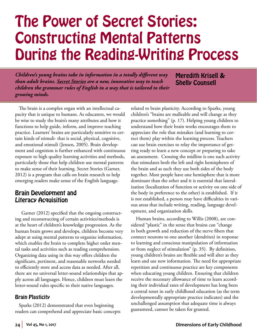# The Power of Secret Stories: Constructing Mental Patterns During the Reading-Writing Process

*Children's young brains take in information in a totally different way than adult brains. Secret Stories are a new, innovative way to teach children the grammar rules of English in a way that is tailored to their growing minds.*

Meredith Krisell & Shelly Counsell

The brain is a complex organ with an intellectual capacity that is unique to humans. As educators, we would be wise to study the brain's many attributes and how it functions to help guide, inform, and improve teaching practice. Learners' brains are particularly sensitive to certain kinds of stimuli- that is social, physical, cognitive, and emotional stimuli (Jensen, 2005). Brain development and cognition is further enhanced with continuous exposure to high quality learning activities and methods, particularly those that help children use mental patterns to make sense of their learning. Secret Stories (Garner, 2012) is a program that calls on brain research to help emerging readers make sense of the English language.

#### Brain Development and Literacy Acquisition

 Garner (2012) specified that the ongoing constructing and reconstructing of certain activities/methods is at the heart of children's knowledge progression. As the human brain grows and develops, children become very adept at using mental patterns to organize information, which enables the brain to complete higher order mental tasks and activities such as reading comprehension. Organizing data using in this way offers children the significant, pertinent, and reasonable networks needed to efficiently store and access data as needed. After all, there are no universal letter-sound relationships that apply across all languages. Hence, children must learn the letter-sound rules specific to their native languages.

#### Brain Plasticity

Sparks (2012) demonstrated that even beginning readers can comprehend and appreciate basic concepts related to brain plasticity. According to Sparks, young children's "brains are malleable and will change as they practice something" (p. 17). Helping young children to understand how their brain works encourages them to appreciate the role that mistakes (and learning to correct them) play within the learning process. Teachers can use brain exercises to relay the importance of getting ready to learn a new concept or preparing to take an assessment. Crossing the midline is one such activity that stimulates both the left and right hemispheres of the brain and as such they use both sides of the body together. Most people have one hemisphere that is more dominant than the other and it is essential that lateralization (localization of function or activity on one side of the body in preference to the other) is established. If it is not established, a person may have difficulties in various areas that include writing, reading, language development, and organization skills.

 Human brains, according to Willis (2008), are considered "plastic" in the sense that brains can "change in both growth and reduction of the nerve fibers that connect neurons to one another (dendrites) in response to learning and conscious manipulation of information or from neglect of stimulation" (p. 35). By definition, young children's brains are flexible and will alter as they learn and use new information. The need for appropriate repetition and continuous practice are key components when educating young children. Ensuring that children receive the necessary allowance of time to learn according their individual rates of development has long been a central tenet in early childhood education (as the term developmentally appropriate practice indicates) and the unchallenged assumption that adequate time is always guaranteed, cannot be taken for granted.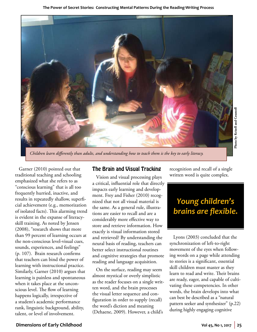

*Children learn differently than adults, and understanding how to teach them is the key to early literacy.*

Garner (2010) pointed out that traditional teaching and schooling emphasized what she refers to as "conscious learning" that is all too frequently hurried, inactive, and results in repeatedly shallow, superficial achievement (e.g., memorization of isolated facts). This alarming trend is evident in the expanse of literacyskill training. As noted by Jensen (2008), "research shows that more than 99 percent of learning occurs at the non-conscious level-visual cues, sounds, experiences, and feelings" (p. 107). Brain research confirms that teachers can bind the power of learning with instructional practice. Similarly, Garner (2010) argues that learning is painless and spontaneous when it takes place at the unconscious level. The flow of learning happens logically, irrespective of a student's academic performance rank, linguistic background, ability, talent, or level of involvement.

#### The Brain and Visual Tracking

Vision and visual processing plays a critical, influential role that directly impacts early learning and development. Frey and Fisher (2010) recognized that not all visual material is the same. As a general rule, illustrations are easier to recall and are a considerably more effective way to store and retrieve information. How exactly is visual information stored and retrieved? By understanding the neural basis of reading, teachers can better select instructional routines and cognitive strategies that promote reading and language acquisition.

On the surface, reading may seem almost mystical or overly simplistic as the reader focuses on a single written word, and the brain processes the visual letter sequence and configuration in order to supply (recall) the word's diction and meaning (Dehaene, 2009). However, a child's

recognition and recall of a single written word is quite complex.

# *Young children's brains are flexible.*

Lyons (2003) concluded that the synchronization of left-to-right movement of the eyes when following words on a page while attending to stories is a significant, essential skill children must master as they learn to read and write. Their brains are ready, eager, and capable of cultivating these competencies. In other words, the brain develops into what can best be described as a "natural pattern seeker and synthesizer" (p.22) during highly engaging cognitive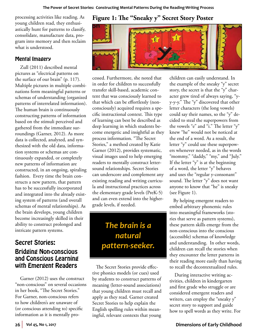processing activities like reading. As young children read, they enthusiastically hunt for patterns to classify, consolidate, manufacture data, program into memory and then reclaim what is understood.

#### Mental Imagery

 Zull (2011) described mental pictures as "electrical patterns on the surface of our brain" (p. 117). Multiple pictures in multiple combinations form meaningful patterns or schemas of understanding (organized patterns of interrelated information). The human brain is continuously constructing patterns of information based on the stimuli perceived and gathered from the immediate surroundings (Garner, 2012). As more data is collected, analyzed, and synthesized with the old data, information systems or schemas are continuously expanded, or completely new patterns of information are constructed, in an ongoing, spiraling fashion. Every time the brain constructs a new pattern, that pattern has to be successfully incorporated and integrated into the already existing system of patterns (and overall schemas of mental relationships). As the brain develops, young children become increasingly skilled in their ability to construct prolonged and intricate pattern systems.

## Secret Stories: Bridging Non-conscious and Conscious Learning with Emergent Readers

 Garner (2012) uses the construct "non-conscious" on several occasions in her book, "The Secret Stories." For Garner, non-conscious refers to how children's are unaware of (or conscious attending to) specific information as it is mentally pro-

## **Figure 1: The "Sneaky y" Secret Story Poster**



cessed. Furthermore, she noted that in order for children to successfully transfer skill-based, academic content that was consciously learned to that which can be effortlessly (nonconsciously) acquired requires a specific instructional context. This type of learning can best be described as deep learning in which students become energetic and insightful as they process information. "The Secret Stories," a method created by Katie Garner (2012), provides systematic, visual images used to help emerging readers to mentally construct lettersound relationships. Secret Stories can underscore and complement any existing reading and writing curricula and instructional practices across the elementary grade levels (PreK-5) and can even extend into the highergrade levels, if needed.

*The brain is a natural pattern-seeker.*

The Secret Stories provide effective phonics models (or cues) used by students to construct patterns of meaning (letter-sound associations) that young children must recall and apply as they read. Garner created Secret Stories to help explain the English spelling rules within meaningful, relevant contexts that young

children can easily understand. In the example of the sneaky "y" secret story, the secret is that the "y" character grew tired of always saying, "yy-y-y." The "y" discovered that other letter characters (the long vowels) could say their names, so the "y" decided to steal the superpowers from the vowels "e" and "i." The letter "y" knew "he" would not be noticed at the end of a word. As a result, the letter "y" could use these superpowers whenever needed, as in the words "mommy," "daddy," "my," and "July." If the letter "y" is at the beginning of a word, the letter "y" behaves and uses the "regular y-consonant" sound. The letter "y" does not want anyone to know that "he" is sneaky (see Figure 1).

By helping emergent readers to embed arbitrary phonemic rules into meaningful frameworks (stories that serve as pattern systems), these pattern skills emerge from the non-conscious into the conscious (accessible) schemas of knowledge and understanding. In other words, children can recall the stories when they encounter the letter patterns in their reading more easily than having to recall the decontextualized rules.

 During interactive writing activities, children in kindergarten and first grade who struggle or are considered emergent readers and writers, can employ the "sneaky y" secret story to support and guide how to spell words as they write. For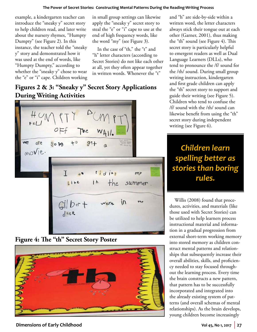#### **The Power of Secret Stories: Constructing Mental Patterns During the Reading-Writing Process**

example, a kindergarten teacher can introduce the "sneaky y" secret story to help children read, and later write about the nursery rhymes, "Humpty Dumpty" (see Figure 2). In this instance, the teacher told the "sneaky y" story and demonstrated how it was used at the end of words, like "Humpty Dumpty," according to whether the "sneaky y" chose to wear the "e" or "i" cape. Children working

in small group settings can likewise apply the "sneaky y" secret story to steal the "e" or "i" cape to use at the end of high frequency words, like the word "my" (see Figure 3).

 In the case of "th," the "t" and "h" letter characters (according to Secret Stories) do not like each other at all, yet they often appear together in written words. Whenever the "t"

## **Figures 2 & 3: "Sneaky y" Secret Story Applications During Writing Activities**



**Figure 4: The "th" Secret Story Poster**



**Dimensions of Early Childhood Volution 2018 Volution Volution Volution Volution Volution Volution Volution Volution Volution Volution Volution Volution Volution Volution Volution Volution** 

and "h" are side-by-side within a written word, the letter characters always stick their tongue out at each other (Garner, 2001), thus making the "th" sound (see Figure 4). This secret story is particularly helpful to emergent readers as well as Dual Language Learners (DLLs), who tend to pronounce the /f/ sound for the /th/ sound. During small group writing instruction, kindergarten and first grade children can apply the "th" secret story to support and guide their writing (see Figure 5). Children who tend to confuse the /f/ sound with the /th/ sound can likewise benefit from using the "th" secret story during independent writing (see Figure 6).

# *Children learn spelling better as stories than boring rules.*

 Willis (2008) found that procedures, activities, and materials (like those used with Secret Stories) can be utilized to help learners process instructional material and information in a gradual progression from external short-term working memory into stored memory as children construct mental patterns and relationships that subsequently increase their overall abilities, skills, and proficiency needed to stay focused throughout the learning process. Every time the brain constructs a new pattern, that pattern has to be successfully incorporated and integrated into the already existing system of patterns (and overall schemas of mental relationships). As the brain develops, young children become increasingly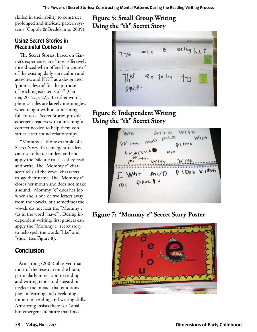skilled in their ability to construct prolonged and intricate pattern systems (Copple & Bredekamp, 2009).

#### Using Secret Stories in Meaningful Contexts

 The Secret Stories, based on Garner's experience, are "most effectively introduced when offered 'in context' of the existing daily curriculum and activities and NOT as a designated 'phonics-lesson' for the purpose of teaching isolated skills" (Garner, 2012, p. 22). In other words, phonics rules are largely meaningless when taught without a meaningful context. Secret Stories provide emergent readers with a meaningful context needed to help them construct letter-sound relationships.

 "Mommy e" is one example of a Secret Story that emergent readers can use to better understand and apply the "silent e rule" as they read and write. The "Mommy e" character tells all the vowel characters to say their name. The "Mommy e" closes her mouth and does not make a sound. Mommy "e" does her job when she is one or two letters away from the vowels, but sometimes the vowels do not hear the "Mommy e" (as in the word "have"). During independent writing, first graders can apply the "Mommy e" secret story to help spell the words "like" and "slide" (see Figure 8).

## **Conclusion**

Armstrong (2003) observed that most of the research on the brain, particularly in relation to reading and writing tends to disregard or neglect the impact that emotions play in learning and developing important reading and writing skills. Armstrong insists there is a "small but emergent literature that links

**Figure 5: Small Group Writing Using the "th" Secret Story**



## **Figure 6: Independent Writing Using the "th" Secret Story**



**Figure 7: "Mommy e" Secret Story Poster**